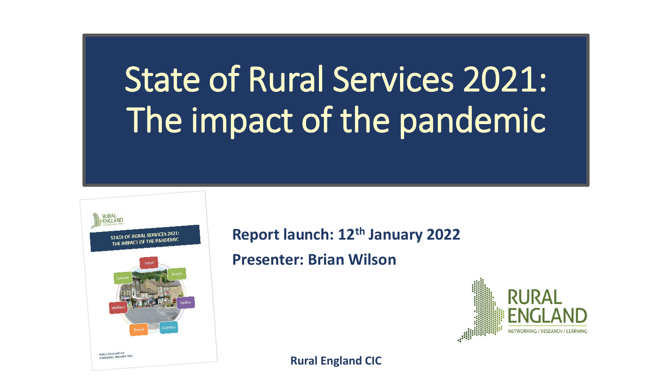# State of Rural Services 2021: The impact of the pandemic



**Report launch: 12th January 2022**

**Presenter: Brian Wilson**



**Rural England CIC**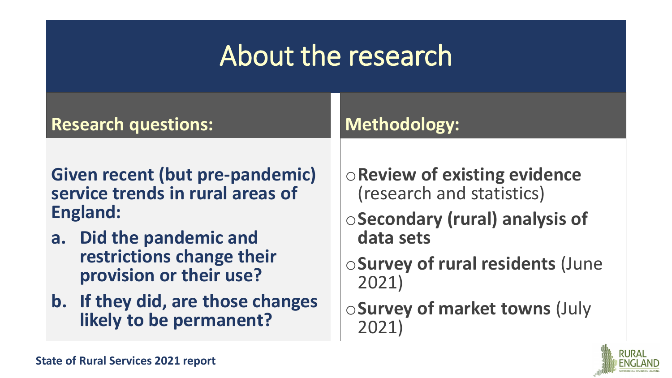## About the research

| <b>Research questions:</b>                                   | <b>Methodology:</b>                     |
|--------------------------------------------------------------|-----------------------------------------|
| Given recent (but pre-pandemic)                              | <b>OReview of existing evidence</b>     |
| service trends in rural areas of                             | (research and statistics)               |
| <b>England:</b>                                              | ○ Secondary (rural) analysis of         |
| a. Did the pandemic and                                      | data sets                               |
| restrictions change their                                    | <b>OSurvey of rural residents (June</b> |
| provision or their use?                                      | 2021)                                   |
| b. If they did, are those changes<br>likely to be permanent? | ○ Survey of market towns (July          |

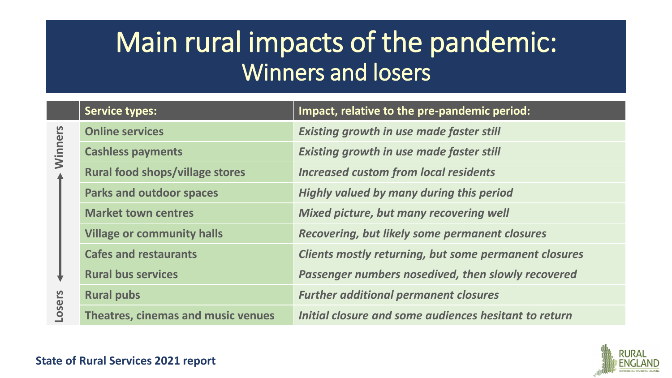## Main rural impacts of the pandemic: Winners and losers

|               | <b>Service types:</b>                     | Impact, relative to the pre-pandemic period:                 |
|---------------|-------------------------------------------|--------------------------------------------------------------|
|               | <b>Online services</b>                    | <b>Existing growth in use made faster still</b>              |
| Winners       | <b>Cashless payments</b>                  | <b>Existing growth in use made faster still</b>              |
|               | <b>Rural food shops/village stores</b>    | <b>Increased custom from local residents</b>                 |
|               | <b>Parks and outdoor spaces</b>           | <b>Highly valued by many during this period</b>              |
|               | <b>Market town centres</b>                | Mixed picture, but many recovering well                      |
|               | <b>Village or community halls</b>         | <b>Recovering, but likely some permanent closures</b>        |
|               | <b>Cafes and restaurants</b>              | <b>Clients mostly returning, but some permanent closures</b> |
|               | <b>Rural bus services</b>                 | Passenger numbers nosedived, then slowly recovered           |
|               | <b>Rural pubs</b>                         | <b>Further additional permanent closures</b>                 |
| <b>Losers</b> | <b>Theatres, cinemas and music venues</b> | Initial closure and some audiences hesitant to return        |

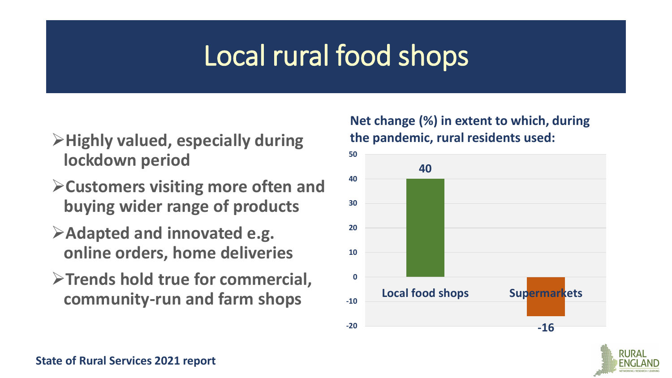## Local rural food shops

- ➢**Highly valued, especially during lockdown period**
- ➢**Customers visiting more often and buying wider range of products**
- ➢**Adapted and innovated e.g. online orders, home deliveries**
- ➢**Trends hold true for commercial, community-run and farm shops**

#### **Net change (%) in extent to which, during the pandemic, rural residents used:**



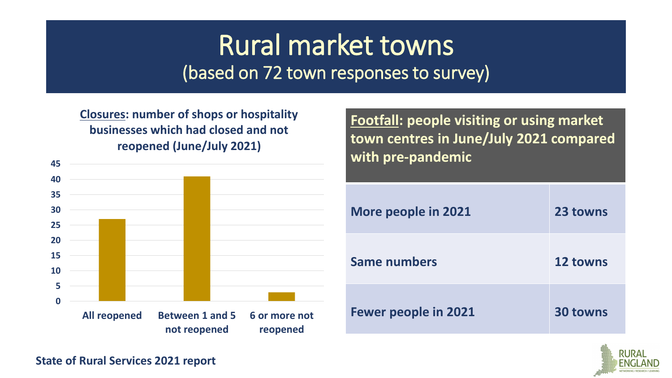#### Rural market towns (based on 72 town responses to survey)

**Closures: number of shops or hospitality businesses which had closed and not reopened (June/July 2021)**



**Footfall: people visiting or using market town centres in June/July 2021 compared with pre-pandemic**

| <b>More people in 2021</b>  | 23 towns        |
|-----------------------------|-----------------|
| <b>Same numbers</b>         | 12 towns        |
| <b>Fewer people in 2021</b> | <b>30 towns</b> |

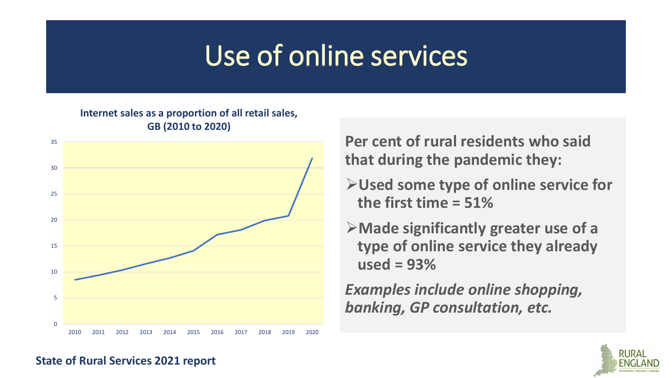## Use of online services

#### **Internet sales as a proportion of all retail sales, GB (2010 to 2020)**



**Per cent of rural residents who said that during the pandemic they:**

- ➢**Used some type of online service for the first time = 51%**
- ➢**Made significantly greater use of a type of online service they already used = 93%**

*Examples include online shopping, banking, GP consultation, etc.*

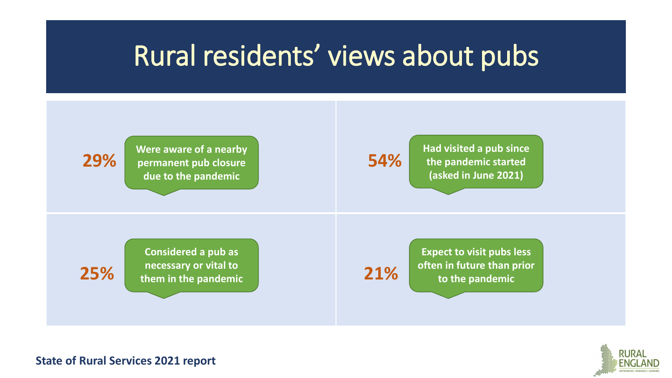#### Rural residents' views about pubs



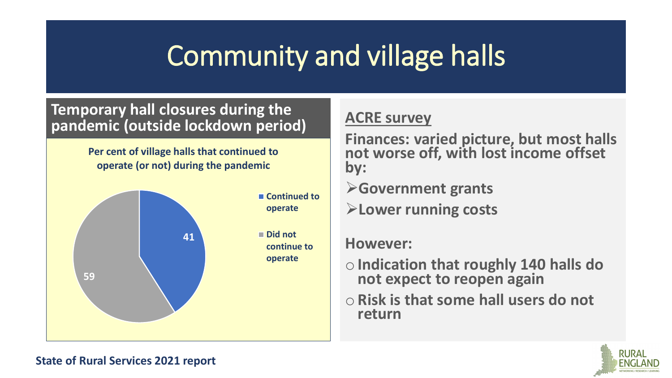## Community and village halls

#### **Temporary hall closures during the pandemic (outside lockdown period) ACRE survey**

**Per cent of village halls that continued to operate (or not) during the pandemic**



**Finances: varied picture, but most halls not worse off, with lost income offset by:**

➢**Government grants**

➢**Lower running costs**

#### **However:**

- o**Indication that roughly 140 halls do not expect to reopen again**
- o**Risk is that some hall users do not return**

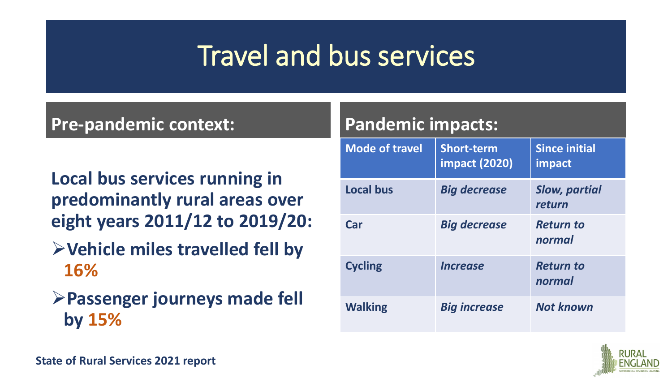## Travel and bus services

#### **Pre-pandemic context:**

- **Local bus services running in predominantly rural areas over eight years 2011/12 to 2019/20:**
- ➢**Vehicle miles travelled fell by 16%**
- ➢**Passenger journeys made fell by 15%**

| <b>Pandemic impacts:</b> |                                           |                                |  |  |
|--------------------------|-------------------------------------------|--------------------------------|--|--|
| <b>Mode of travel</b>    | <b>Short-term</b><br><b>impact (2020)</b> | <b>Since initial</b><br>impact |  |  |
| <b>Local bus</b>         | <b>Big decrease</b>                       | <b>Slow, partial</b><br>return |  |  |
| Car                      | <b>Big decrease</b>                       | <b>Return to</b><br>normal     |  |  |
| <b>Cycling</b>           | <i><u><b>Increase</b></u></i>             | <b>Return to</b><br>normal     |  |  |
| <b>Walking</b>           | <b>Big increase</b>                       | <b>Not known</b>               |  |  |

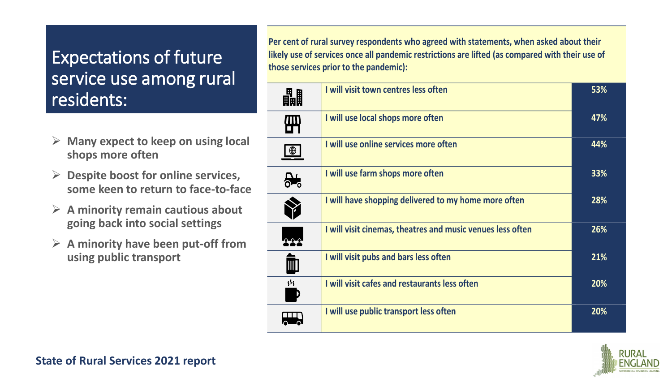#### Expectations of future service use among rural residents:

- ➢ **Many expect to keep on using local shops more often**
- ➢ **Despite boost for online services, some keen to return to face-to-face**
- ➢ **A minority remain cautious about going back into social settings**
- ➢ **A minority have been put-off from using public transport**

**Per cent of rural survey respondents who agreed with statements, when asked about their likely use of services once all pandemic restrictions are lifted (as compared with their use of those services prior to the pandemic):**

| 畾              | I will visit town centres less often                       | 53% |
|----------------|------------------------------------------------------------|-----|
| 冊              | I will use local shops more often                          | 47% |
| $\bigoplus$    | I will use online services more often                      | 44% |
| <del>∰</del>   | I will use farm shops more often                           | 33% |
|                | I will have shopping delivered to my home more often       | 28% |
|                | I will visit cinemas, theatres and music venues less often | 26% |
| III            | I will visit pubs and bars less often                      | 21% |
| $\mathfrak{H}$ | I will visit cafes and restaurants less often              | 20% |
|                | I will use public transport less often                     | 20% |